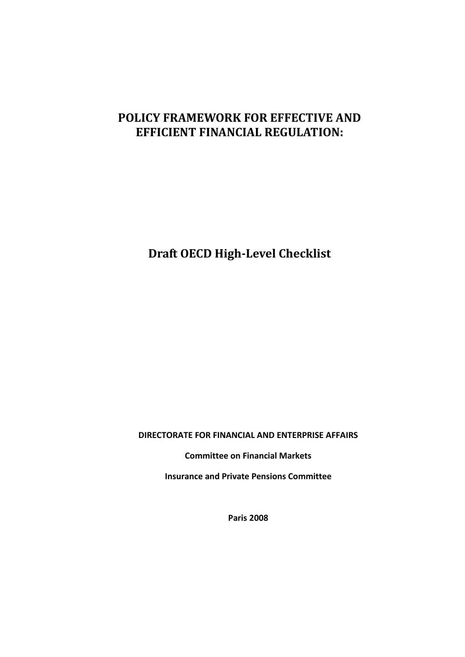# **POLICY FRAMEWORK FOR EFFECTIVE AND EFFICIENT FINANCIAL REGULATION:**

**Draft OECD High-Level Checklist**

**DIRECTORATE FOR FINANCIAL AND ENTERPRISE AFFAIRS**

**Committee on Financial Markets**

**Insurance and Private Pensions Committee**

**Paris 2008**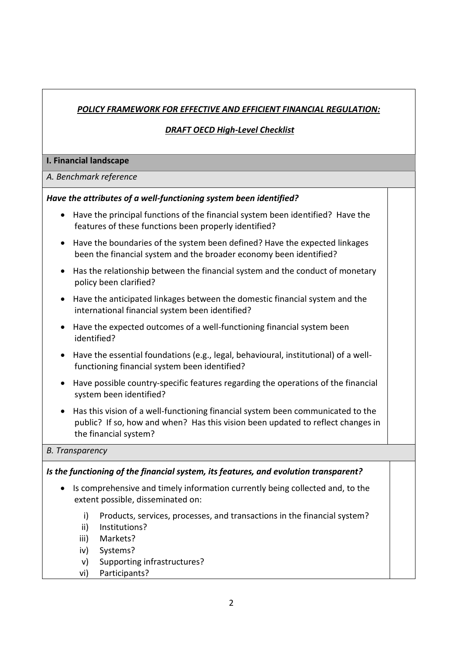# *POLICY FRAMEWORK FOR EFFECTIVE AND EFFICIENT FINANCIAL REGULATION:*

## *DRAFT OECD High-Level Checklist*

#### **I. Financial landscape**

#### *A. Benchmark reference*

#### *Have the attributes of a well-functioning system been identified?*

- Have the principal functions of the financial system been identified? Have the features of these functions been properly identified?
- Have the boundaries of the system been defined? Have the expected linkages been the financial system and the broader economy been identified?
- Has the relationship between the financial system and the conduct of monetary policy been clarified?
- Have the anticipated linkages between the domestic financial system and the international financial system been identified?
- Have the expected outcomes of a well-functioning financial system been identified?
- Have the essential foundations (e.g., legal, behavioural, institutional) of a wellfunctioning financial system been identified?
- Have possible country-specific features regarding the operations of the financial system been identified?
- Has this vision of a well-functioning financial system been communicated to the public? If so, how and when? Has this vision been updated to reflect changes in the financial system?

#### *B. Transparency*

## *Is the functioning of the financial system, its features, and evolution transparent?*

- Is comprehensive and timely information currently being collected and, to the extent possible, disseminated on:
	- i) Products, services, processes, and transactions in the financial system?
	- ii) Institutions?
	- iii) Markets?
	- iv) Systems?
	- v) Supporting infrastructures?
	- vi) Participants?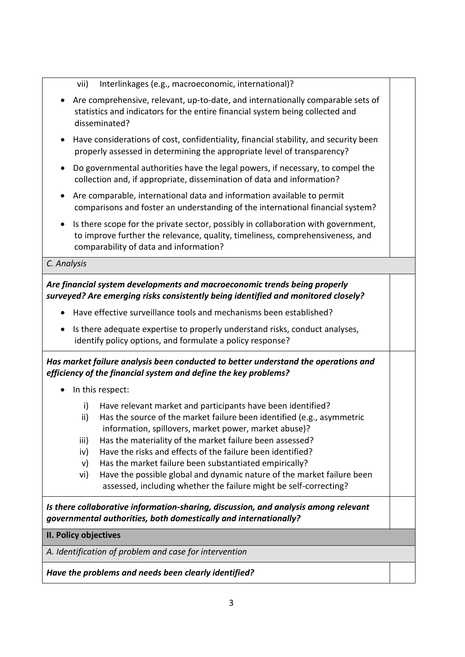vii) Interlinkages (e.g., macroeconomic, international)?

- Are comprehensive, relevant, up-to-date, and internationally comparable sets of statistics and indicators for the entire financial system being collected and disseminated?
- Have considerations of cost, confidentiality, financial stability, and security been properly assessed in determining the appropriate level of transparency?
- Do governmental authorities have the legal powers, if necessary, to compel the collection and, if appropriate, dissemination of data and information?
- Are comparable, international data and information available to permit comparisons and foster an understanding of the international financial system?
- Is there scope for the private sector, possibly in collaboration with government, to improve further the relevance, quality, timeliness, comprehensiveness, and comparability of data and information?

#### *C. Analysis*

# *Are financial system developments and macroeconomic trends being properly surveyed? Are emerging risks consistently being identified and monitored closely?*

- Have effective surveillance tools and mechanisms been established?
- Is there adequate expertise to properly understand risks, conduct analyses, identify policy options, and formulate a policy response?

# *Has market failure analysis been conducted to better understand the operations and efficiency of the financial system and define the key problems?*

- In this respect:
	- i) Have relevant market and participants have been identified?
	- ii) Has the source of the market failure been identified (e.g., asymmetric information, spillovers, market power, market abuse)?
	- iii) Has the materiality of the market failure been assessed?
	- iv) Have the risks and effects of the failure been identified?
	- v) Has the market failure been substantiated empirically?
	- vi) Have the possible global and dynamic nature of the market failure been assessed, including whether the failure might be self-correcting?

*Is there collaborative information-sharing, discussion, and analysis among relevant governmental authorities, both domestically and internationally?*

## **II. Policy objectives**

*A. Identification of problem and case for intervention*

# *Have the problems and needs been clearly identified?*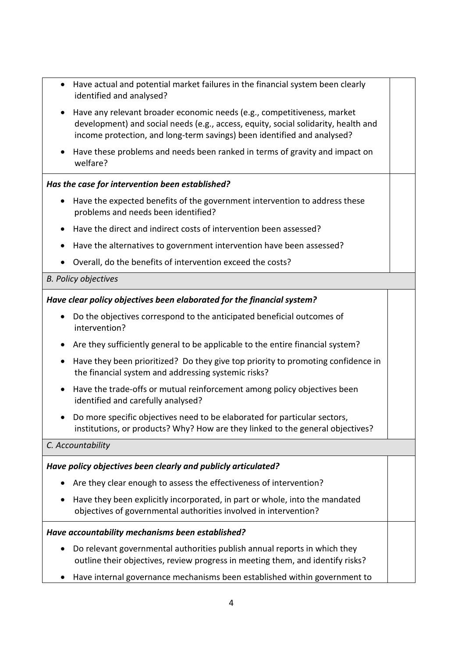- Have actual and potential market failures in the financial system been clearly identified and analysed?
- Have any relevant broader economic needs (e.g., competitiveness, market development) and social needs (e.g., access, equity, social solidarity, health and income protection, and long-term savings) been identified and analysed?
- Have these problems and needs been ranked in terms of gravity and impact on welfare?

# *Has the case for intervention been established?*

- Have the expected benefits of the government intervention to address these problems and needs been identified?
- Have the direct and indirect costs of intervention been assessed?
- Have the alternatives to government intervention have been assessed?
- Overall, do the benefits of intervention exceed the costs?

## *B. Policy objectives*

## *Have clear policy objectives been elaborated for the financial system?*

- Do the objectives correspond to the anticipated beneficial outcomes of intervention?
- Are they sufficiently general to be applicable to the entire financial system?
- Have they been prioritized? Do they give top priority to promoting confidence in the financial system and addressing systemic risks?
- Have the trade-offs or mutual reinforcement among policy objectives been identified and carefully analysed?
- Do more specific objectives need to be elaborated for particular sectors, institutions, or products? Why? How are they linked to the general objectives?

## *C. Accountability*

## *Have policy objectives been clearly and publicly articulated?*

- Are they clear enough to assess the effectiveness of intervention?
- Have they been explicitly incorporated, in part or whole, into the mandated objectives of governmental authorities involved in intervention?

## *Have accountability mechanisms been established?*

- Do relevant governmental authorities publish annual reports in which they outline their objectives, review progress in meeting them, and identify risks?
- Have internal governance mechanisms been established within government to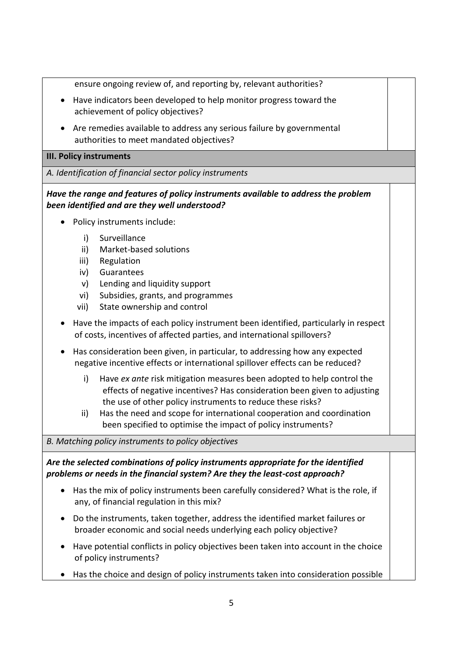ensure ongoing review of, and reporting by, relevant authorities?

- Have indicators been developed to help monitor progress toward the achievement of policy objectives?
- Are remedies available to address any serious failure by governmental authorities to meet mandated objectives?

#### **III. Policy instruments**

*A. Identification of financial sector policy instruments*

*Have the range and features of policy instruments available to address the problem been identified and are they well understood?*

- Policy instruments include:
	- i) Surveillance
	- ii) Market-based solutions
	- iii) Regulation
	- iv) Guarantees
	- v) Lending and liquidity support
	- vi) Subsidies, grants, and programmes
	- vii) State ownership and control
- Have the impacts of each policy instrument been identified, particularly in respect of costs, incentives of affected parties, and international spillovers?
- Has consideration been given, in particular, to addressing how any expected negative incentive effects or international spillover effects can be reduced?
	- i) Have *ex ante* risk mitigation measures been adopted to help control the effects of negative incentives? Has consideration been given to adjusting the use of other policy instruments to reduce these risks?
	- ii) Has the need and scope for international cooperation and coordination been specified to optimise the impact of policy instruments?

*B. Matching policy instruments to policy objectives*

# *Are the selected combinations of policy instruments appropriate for the identified problems or needs in the financial system? Are they the least-cost approach?*

- Has the mix of policy instruments been carefully considered? What is the role, if any, of financial regulation in this mix?
- Do the instruments, taken together, address the identified market failures or broader economic and social needs underlying each policy objective?
- Have potential conflicts in policy objectives been taken into account in the choice of policy instruments?
- Has the choice and design of policy instruments taken into consideration possible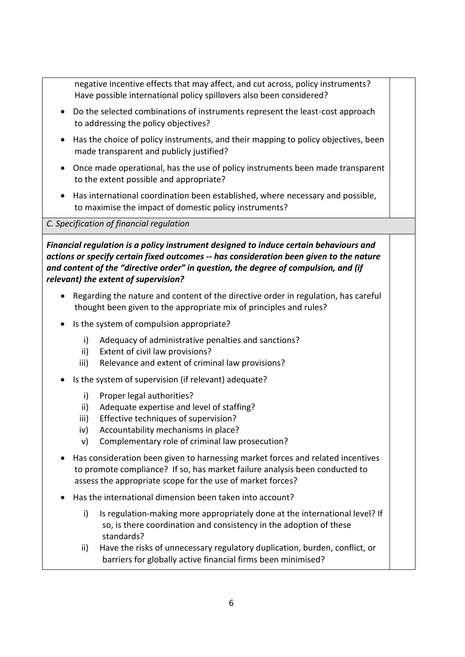negative incentive effects that may affect, and cut across, policy instruments? Have possible international policy spillovers also been considered?

- Do the selected combinations of instruments represent the least-cost approach to addressing the policy objectives?
- Has the choice of policy instruments, and their mapping to policy objectives, been made transparent and publicly justified?
- Once made operational, has the use of policy instruments been made transparent to the extent possible and appropriate?
- Has international coordination been established, where necessary and possible, to maximise the impact of domestic policy instruments?

## *C. Specification of financial regulation*

*Financial regulation is a policy instrument designed to induce certain behaviours and actions or specify certain fixed outcomes -- has consideration been given to the nature and content of the "directive order" in question, the degree of compulsion, and (if relevant) the extent of supervision?* 

- Regarding the nature and content of the directive order in regulation, has careful thought been given to the appropriate mix of principles and rules?
- Is the system of compulsion appropriate?
	- i) Adequacy of administrative penalties and sanctions?
	- ii) Extent of civil law provisions?
	- iii) Relevance and extent of criminal law provisions?
- Is the system of supervision (if relevant) adequate?
	- i) Proper legal authorities?
	- ii) Adequate expertise and level of staffing?
	- iii) Effective techniques of supervision?
	- iv) Accountability mechanisms in place?
	- v) Complementary role of criminal law prosecution?
- Has consideration been given to harnessing market forces and related incentives to promote compliance? If so, has market failure analysis been conducted to assess the appropriate scope for the use of market forces?
- Has the international dimension been taken into account?
	- i) Is regulation-making more appropriately done at the international level? If so, is there coordination and consistency in the adoption of these standards?
	- ii) Have the risks of unnecessary regulatory duplication, burden, conflict, or barriers for globally active financial firms been minimised?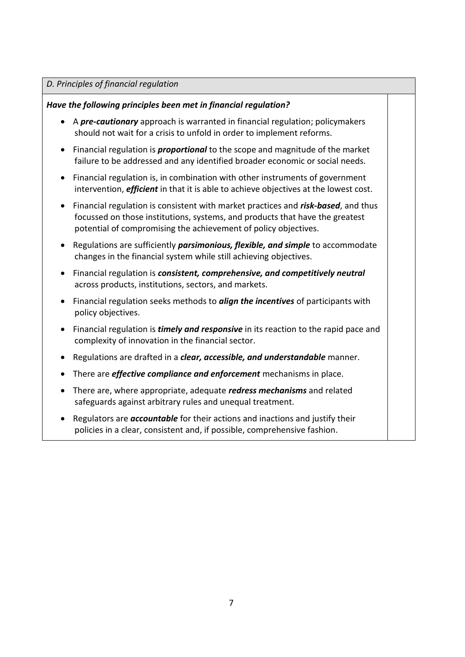#### *D. Principles of financial regulation*

#### *Have the following principles been met in financial regulation?*

- A *pre-cautionary* approach is warranted in financial regulation; policymakers should not wait for a crisis to unfold in order to implement reforms.
- Financial regulation is *proportional* to the scope and magnitude of the market failure to be addressed and any identified broader economic or social needs.
- Financial regulation is, in combination with other instruments of government intervention, *efficient* in that it is able to achieve objectives at the lowest cost.
- Financial regulation is consistent with market practices and *risk-based*, and thus focussed on those institutions, systems, and products that have the greatest potential of compromising the achievement of policy objectives.
- Regulations are sufficiently *parsimonious, flexible, and simple* to accommodate changes in the financial system while still achieving objectives.
- Financial regulation is *consistent, comprehensive, and competitively neutral* across products, institutions, sectors, and markets.
- Financial regulation seeks methods to *align the incentives* of participants with policy objectives.
- Financial regulation is *timely and responsive* in its reaction to the rapid pace and complexity of innovation in the financial sector.
- Regulations are drafted in a *clear, accessible, and understandable* manner.
- There are *effective compliance and enforcement* mechanisms in place.
- There are, where appropriate, adequate *redress mechanisms* and related safeguards against arbitrary rules and unequal treatment.
- Regulators are *accountable* for their actions and inactions and justify their policies in a clear, consistent and, if possible, comprehensive fashion.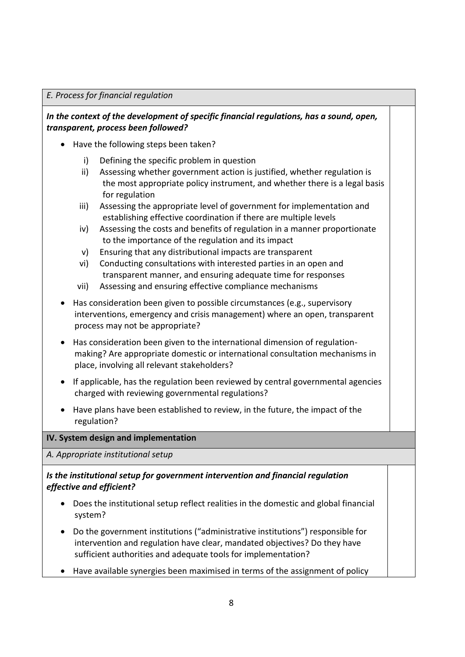#### *E. Process for financial regulation*

## *In the context of the development of specific financial regulations, has a sound, open, transparent, process been followed?*

- Have the following steps been taken?
	- i) Defining the specific problem in question
	- ii) Assessing whether government action is justified, whether regulation is the most appropriate policy instrument, and whether there is a legal basis for regulation
	- iii) Assessing the appropriate level of government for implementation and establishing effective coordination if there are multiple levels
	- iv) Assessing the costs and benefits of regulation in a manner proportionate to the importance of the regulation and its impact
	- v) Ensuring that any distributional impacts are transparent
	- vi) Conducting consultations with interested parties in an open and transparent manner, and ensuring adequate time for responses
	- vii) Assessing and ensuring effective compliance mechanisms
- Has consideration been given to possible circumstances (e.g., supervisory interventions, emergency and crisis management) where an open, transparent process may not be appropriate?
- Has consideration been given to the international dimension of regulationmaking? Are appropriate domestic or international consultation mechanisms in place, involving all relevant stakeholders?
- If applicable, has the regulation been reviewed by central governmental agencies charged with reviewing governmental regulations?
- Have plans have been established to review, in the future, the impact of the regulation?

## **IV. System design and implementation**

*A. Appropriate institutional setup*

## *Is the institutional setup for government intervention and financial regulation effective and efficient?*

- Does the institutional setup reflect realities in the domestic and global financial system?
- Do the government institutions ("administrative institutions") responsible for intervention and regulation have clear, mandated objectives? Do they have sufficient authorities and adequate tools for implementation?
- Have available synergies been maximised in terms of the assignment of policy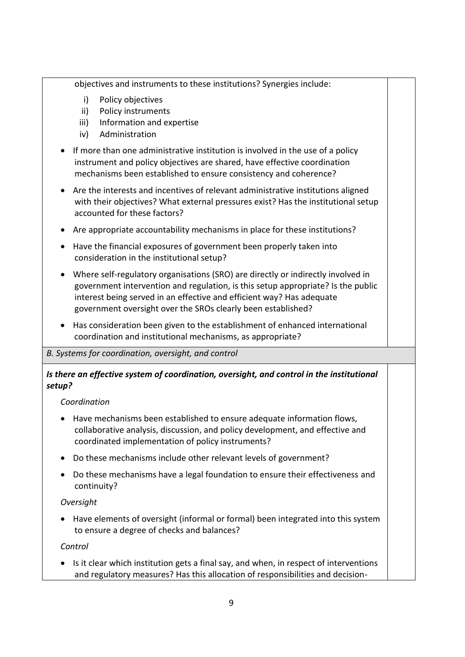objectives and instruments to these institutions? Synergies include:

- i) Policy objectives
- ii) Policy instruments
- iii) Information and expertise
- iv) Administration
- If more than one administrative institution is involved in the use of a policy instrument and policy objectives are shared, have effective coordination mechanisms been established to ensure consistency and coherence?
- Are the interests and incentives of relevant administrative institutions aligned with their objectives? What external pressures exist? Has the institutional setup accounted for these factors?
- Are appropriate accountability mechanisms in place for these institutions?
- Have the financial exposures of government been properly taken into consideration in the institutional setup?
- Where self-regulatory organisations (SRO) are directly or indirectly involved in government intervention and regulation, is this setup appropriate? Is the public interest being served in an effective and efficient way? Has adequate government oversight over the SROs clearly been established?
- Has consideration been given to the establishment of enhanced international coordination and institutional mechanisms, as appropriate?

## *B. Systems for coordination, oversight, and control*

# *Is there an effective system of coordination, oversight, and control in the institutional setup?*

## *Coordination*

- Have mechanisms been established to ensure adequate information flows, collaborative analysis, discussion, and policy development, and effective and coordinated implementation of policy instruments?
- Do these mechanisms include other relevant levels of government?
- Do these mechanisms have a legal foundation to ensure their effectiveness and continuity?

## *Oversight*

• Have elements of oversight (informal or formal) been integrated into this system to ensure a degree of checks and balances?

## *Control*

• Is it clear which institution gets a final say, and when, in respect of interventions and regulatory measures? Has this allocation of responsibilities and decision